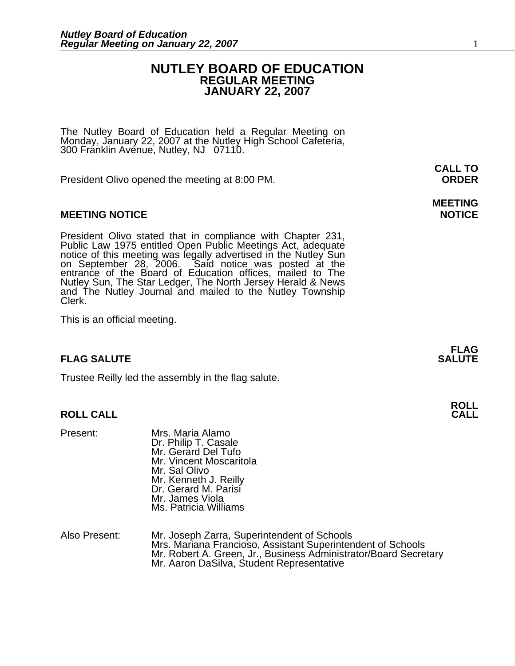### **NUTLEY BOARD OF EDUCATION REGULAR MEETING JANUARY 22, 2007**

The Nutley Board of Education held a Regular Meeting on<br>Monday, January 22, 2007 at the Nutley High School Cafeteria, 300 Franklin Avenue, Nutley, NJ 07110.

President Olivo opened the meeting at 8:00 PM. **ORDER**

### **MEETING NOTICE NOTICE AND RESERVE ASSESS**

President Olivo stated that in compliance with Chapter 231,<br>Public Law 1975 entitled Open Public Meetings Act, adequate<br>notice of this meeting was legally advertised in the Nutley Sun<br>on September 28, 2006. Said notice was Nutley Sun, The Star Ledger, The North Jersey Herald & News<br>and The Nutley Journal and mailed to the Nutley Township<br>Clerk.

This is an official meeting.

Trustee Reilly led the assembly in the flag salute.

### **ROLL CALL**

| Present:      | Mrs. Maria Alamo<br>Dr. Philip T. Casale<br>Mr. Gerard Del Tufo<br>Mr. Vincent Moscaritola<br>Mr. Sal Olivo<br>Mr. Kenneth J. Reilly<br>Dr. Gerard M. Parisi<br>Mr. James Viola<br>Ms. Patricia Williams                    |
|---------------|-----------------------------------------------------------------------------------------------------------------------------------------------------------------------------------------------------------------------------|
| Also Present: | Mr. Joseph Zarra, Superintendent of Schools<br>Mrs. Mariana Francioso, Assistant Superintendent of Schools<br>Mr. Robert A. Green, Jr., Business Administrator/Board Secretary<br>Mr. Aaron DaSilva, Student Representative |

**FLAG SALUTE** SALUTE SALUTE SALUTE SALUTE SALUTE

**CALL TO** 

# **MEETING**

**FLAG**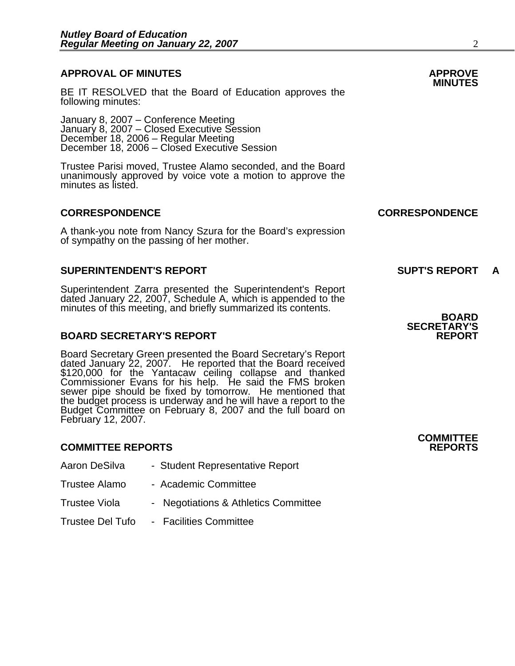## **APPROVAL OF MINUTES APPROVE**

BE IT RESOLVED that the Board of Education approves the following minutes:

 January 8, 2007 – Conference Meeting January 8, 2007 – Closed Executive Session December 18, 2006 – Regular Meeting December 18, 2006 – Closed Executive Session

Trustee Parisi moved, Trustee Alamo seconded, and the Board unanimously approved by voice vote a motion to approve the minutes as listed.

A thank-you note from Nancy Szura for the Board's expression of sympathy on the passing of her mother.

#### **SUPERINTENDENT'S REPORT SUPT'S REPORT A**

Superintendent Zarra presented the Superintendent's Report dated January 22, 2007, Schedule A, which is appended to the minutes of this meeting, and briefly summarized its contents. **BOARD** 

#### **BOARD SECRETARY'S REPORT**

Board Secretary Green presented the Board Secretary's Report<br>dated January 22, 2007. He reported that the Board received \$120,000 for the Yantacaw ceiling collapse and thanked Commissioner Evans for his help. He said the FMS broken sewer pipe should be fixed by tomorrow. He mentioned that the budget process is underway and he will have a report to the Budget Committee on February 8, 2007 and the full board on February 12, 2007.

#### **COMMITTEE REPORTS REPORTS**

- Aaron DeSilva Student Representative Report Trustee Alamo - Academic Committee
- Trustee Viola Negotiations & Athletics Committee
- Trustee Del Tufo Facilities Committee

#### **CORRESPONDENCE CORRESPONDENCE**



**COMMITTEE**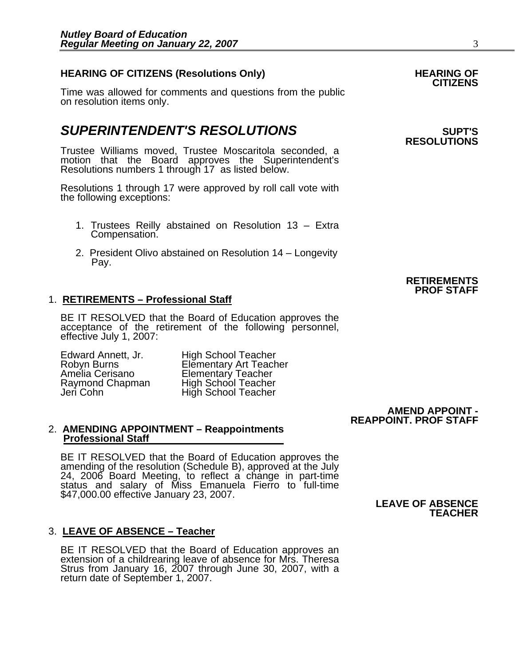## **HEARING OF CITIZENS (Resolutions Only) HEARING OF CITIZENS**

Time was allowed for comments and questions from the public on resolution items only.

## **SUPERINTENDENT'S RESOLUTIONS** *SUPERINTENDENT'S*

Trustee Williams moved, Trustee Moscaritola seconded, a motion that the Board approves the Superintendent's Resolutions numbers 1 through 17 as listed below.

Resolutions 1 through 17 were approved by roll call vote with the following exceptions:

- 1. Trustees Reilly abstained on Resolution 13 Extra Compensation.
- 2. President Olivo abstained on Resolution 14 Longevity Pay.

### 1. **RETIREMENTS – Professional Staff**

BE IT RESOLVED that the Board of Education approves the acceptance of the retirement of the following personnel, effective July 1, 2007:

Edward Annett, Jr. High School Teacher<br>Robyn Burns **Elementary Art Teach** Amelia Cerisano <sup>Elementary Teacher</sup><br>Raymond Chapman High School Teacher Raymond Chapman High School Teacher

Robyn Burns<br>
Amelia Cerisano Elementary Teacher High School Teacher

## **REAPPOINT. PROF STAFF**

#### 2. **AMENDING APPOINTMENT – Reappointments Professional Staff**

BE IT RESOLVED that the Board of Education approves the amending of the resolution (Schedule B), approved at the July 24, 2006 Board Meeting, to reflect a change in part-time status and salary of Miss Emanuela Fierro to full-time<br>\$47,000.00 effective January 23, 2007.<br>**LEAVE OF ABSENCE** 

### 3. **LEAVE OF ABSENCE – Teacher**

BE IT RESOLVED that the Board of Education approves an extension of a childrearing leave of absence for Mrs. Theresa Strus from January 16, 2007 through June 30, 2007, with a return date of September 1, 2007.

## **RESOLUTIONS**

### **RETIREMENTS PROF STAFF**

**AMEND APPOINT -** 

**TEACHER**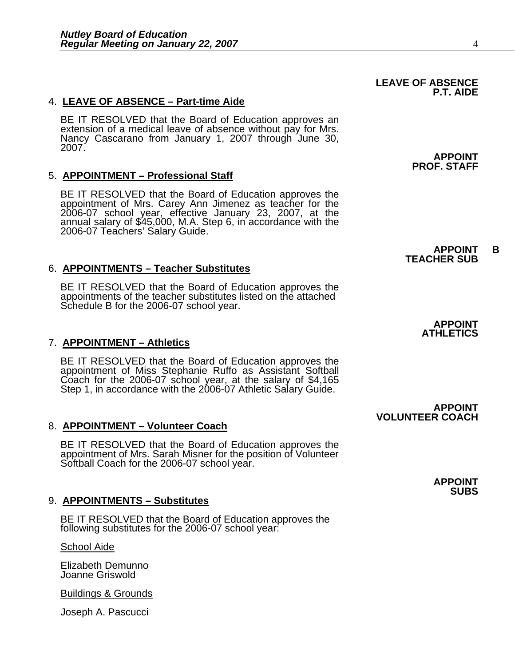### 4. **LEAVE OF ABSENCE – Part-time Aide**

BE IT RESOLVED that the Board of Education approves an extension of a medical leave of absence without pay for Mrs. Nancy Cascarano from January 1, 2007 through June 30, 2007.

#### 5. **APPOINTMENT – Professional Staff**

BE IT RESOLVED that the Board of Education approves the appointment of Mrs. Carey Ann Jimenez as teacher for the 2006-07 school year, effective January 23, 2007, at the annual salary of \$45,000, M.A. Step 6, in accordance with the<br>2006-07 Teachers' Salary Guide.

#### 6. **APPOINTMENTS – Teacher Substitutes**

BE IT RESOLVED that the Board of Education approves the appointments of the teacher substitutes listed on the attached Schedule B for the 2006-07 school year.

### 7. **APPOINTMENT – Athletics**

BE IT RESOLVED that the Board of Education approves the appointment of Miss Stephanie Ruffo as Assistant Softball Coach for the 2006-07 school year, at the salary of \$4,165 Step 1, in accordance with the 2006-07 Athletic Salary Guide.

#### 8. **APPOINTMENT – Volunteer Coach**

BE IT RESOLVED that the Board of Education approves the<br>appointment of Mrs. Sarah Misner for the position of Volunteer<br>Softball Coach for the 2006-07 school year.

#### 9. **APPOINTMENTS – Substitutes**

BE IT RESOLVED that the Board of Education approves the following substitutes for the 2006-07 school year:

School Aide

Elizabeth Demunno Joanne Griswold

Buildings & Grounds

Joseph A. Pascucci

**APPOINT PROF. STAFF**

### **APPOINT B TEACHER SUB**

#### **APPOINT ATHLETICS**

**APPOINT VOLUNTEER COACH**

> **APPOINT SUBS**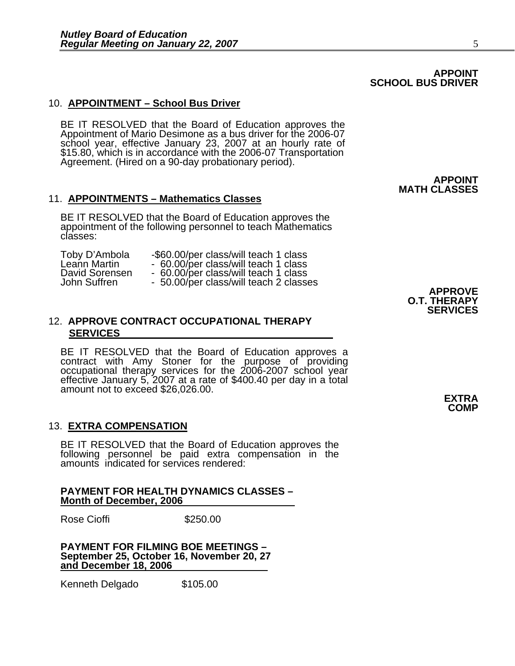BE IT RESOLVED that the Board of Education approves the Appointment of Mario Desimone as a bus driver for the 2006-07 school year, effective January 23, 2007 at an hourly rate of \$15.80, which is in accordance with the 2006-07 Transportation Agreement. (Hired on a 90-day probationary period).

#### 11. **APPOINTMENTS – Mathematics Classes**

BE IT RESOLVED that the Board of Education approves the appointment of the following personnel to teach Mathematics classes:

| Toby D'Ambola  | -\$60.00/per class/will teach 1 class  |
|----------------|----------------------------------------|
| Leann Martin   | - 60.00/per class/will teach 1 class   |
| David Sorensen | - 60.00/per class/will teach 1 class   |
| John Suffren   | - 50.00/per class/will teach 2 classes |

### 12. **APPROVE CONTRACT OCCUPATIONAL THERAPY SERVICES**

BE IT RESOLVED that the Board of Education approves a contract with Amy Stoner for the purpose of providing occupational therapy services for the 2006-2007 school year effective January 5, 2007 at a rate of \$400.40 per day in a total amount not to exceed \$26,026.00.

#### 13. **EXTRA COMPENSATION**

BE IT RESOLVED that the Board of Education approves the following personnel be paid extra compensation in the amounts indicated for services rendered:

#### **PAYMENT FOR HEALTH DYNAMICS CLASSES – Month of December, 2006**

Rose Cioffi **\$250.00** 

**PAYMENT FOR FILMING BOE MEETINGS – September 25, October 16, November 20, 27 and December 18, 2006**

Kenneth Delgado \$105.00

**APPROVE O.T. THERAPY SERVICES** 

**APPOINT** 

**MATH CLASSES**

**EXTRA COMP**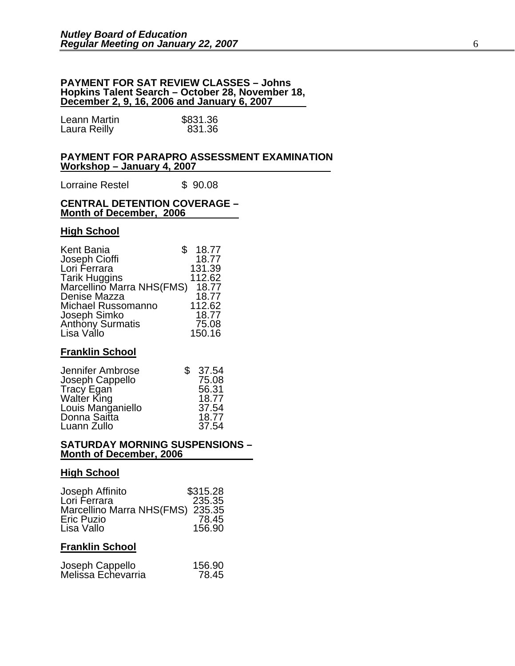#### **PAYMENT FOR SAT REVIEW CLASSES – Johns Hopkins Talent Search – October 28, November 18, December 2, 9, 16, 2006 and January 6, 2007**

| Leann Martin | \$831.36 |
|--------------|----------|
| Laura Reilly | 831.36   |

#### **PAYMENT FOR PARAPRO ASSESSMENT EXAMINATION Workshop – January 4, 2007**

Lorraine Restel \$ 90.08

#### **CENTRAL DETENTION COVERAGE – Month of December, 2006**

#### **High School**

| Kent Bania                       | 18.77  |
|----------------------------------|--------|
| Joseph Cioffi                    | 18.77  |
| Lori Ferrara                     | 131.39 |
| <b>Tarik Huggins</b>             | 112.62 |
| Marcellino Marra NHS(FMS)        | 18.77  |
| Denise Mazza                     | 18.77  |
| Michael Russomanno               | 112.62 |
| Joseph Simko<br>Anthony Surmatis | 18.77  |
|                                  | 75.08  |
| Lisa Vallo                       | 150.16 |

### **Franklin School**

| Jennifer Ambrose          | \$<br>37.54 |
|---------------------------|-------------|
| Joseph Cappello           | 75.08       |
| Tracy Egan<br>Walter King | 56.31       |
|                           | 18.77       |
| Louis Manganiello         | 37.54       |
| Donna Saitta              | 18.77       |
| Luann Zullo               | 37.54       |

#### **SATURDAY MORNING SUSPENSIONS – Month of December, 2006**

#### **High School**

| Joseph Affinito                  | \$315.28 |
|----------------------------------|----------|
| Lori Ferrara                     | 235.35   |
| Marcellino Marra NHS(FMS) 235.35 |          |
| <b>Eric Puzio</b>                | 78.45    |
| Lisa Vallo                       | 156.90   |

### **Franklin School**

| Joseph Cappello    | 156.90 |
|--------------------|--------|
| Melissa Echevarria | 78.45  |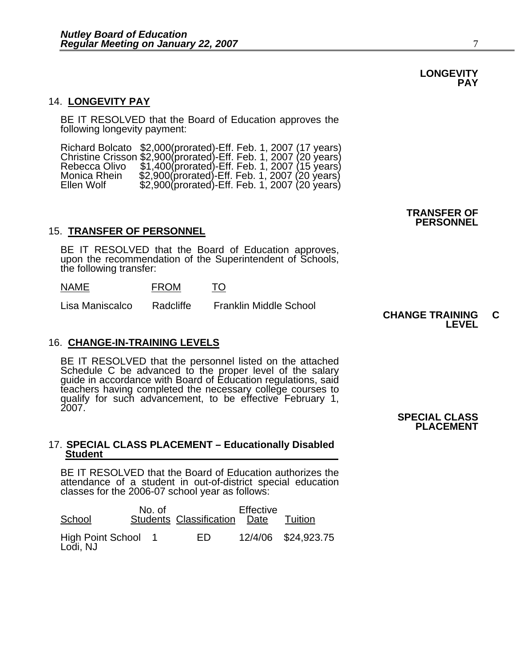#### 14. **LONGEVITY PAY**

BE IT RESOLVED that the Board of Education approves the following longevity payment:

Richard Bolcato \$2,000(prorated)-Eff. Feb. 1, 2007 (17 years)<br>Christine Crisson \$2,900(prorated)-Eff. Feb. 1, 2007 (20 years)<br>Rebecca Olivo \$1,400(prorated)-Eff. Feb. 1, 2007 (15 years) Monica Rhein \$2,900(prorated)-Eff. Feb. 1, 2007 (20 years)<br>Ellen Wolf \$2,900(prorated)-Eff. Feb. 1, 2007 (20 years)

#### 15. **TRANSFER OF PERSONNEL**

BE IT RESOLVED that the Board of Education approves, upon the recommendation of the Superintendent of Schools, the following transfer:

NAME FROM TO

Lisa Maniscalco Radcliffe Franklin Middle School

#### 16. **CHANGE-IN-TRAINING LEVELS**

BE IT RESOLVED that the personnel listed on the attached Schedule C be advanced to the proper level of the salary quide in accordance with Board of Education regulations, said teachers having completed the necessary college courses to qualify for such advancement, to be effective February 1, 2007.

17. **SPECIAL CLASS PLACEMENT – Educationally Disabled Student**

BE IT RESOLVED that the Board of Education authorizes the attendance of a student in out-of-district special education classes for the 2006-07 school year as follows:

| School                        | No. of | Students Classification Date | Effective | Tuition             |
|-------------------------------|--------|------------------------------|-----------|---------------------|
| High Point School<br>Lodi, NJ |        | FD.                          |           | 12/4/06 \$24,923.75 |

**TRANSFER OF PERSONNEL**

 **CHANGE TRAINING C** 

**LEVEL**

#### **SPECIAL CLASS PLACEMENT**

**PAY**

**LONGEVITY**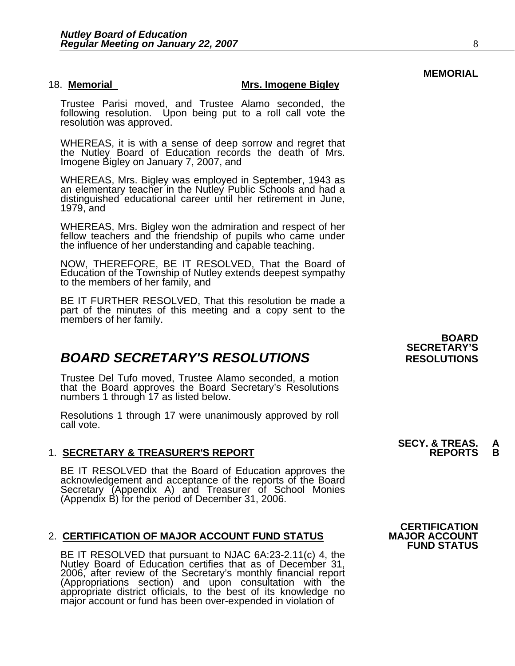#### 18. **Memorial Mrs. Imogene Bigley**

Trustee Parisi moved, and Trustee Alamo seconded, the following resolution. Upon being put to a roll call vote the resolution was approved.

WHEREAS, it is with a sense of deep sorrow and regret that the Nutley Board of Education records the death of Mrs. Imogene Bigley on January 7, 2007, and

WHEREAS, Mrs. Bigley was employed in September, 1943 as an elementary teacher in the Nutley Public Schools and had a distinguished educational career until her retirement in June, 1979, and

WHEREAS, Mrs. Bigley won the admiration and respect of her fellow teachers and the friendship of pupils who came under the influence of her understanding and capable teaching.

NOW, THEREFORE, BE IT RESOLVED, That the Board of Education of the Township of Nutley extends deepest sympathy to the members of her family, and

BE IT FURTHER RESOLVED, That this resolution be made a part of the minutes of this meeting and a copy sent to the members of her family.

## **BOARD SECRETARY'S RESOLUTIONS** RESOLUTIONS

Trustee Del Tufo moved, Trustee Alamo seconded, a motion that the Board approves the Board Secretary's Resolutions numbers 1 through 17 as listed below.

Resolutions 1 through 17 were unanimously approved by roll call vote.

### 1. **SECRETARY & TREASURER'S REPORT**

BE IT RESOLVED that the Board of Education approves the acknowledgement and acceptance of the reports of the Board Secretary (Appendix A) and Treasurer of School Monies (Appendix B) for the period of December 31, 2006.

#### 2. **CERTIFICATION OF MAJOR ACCOUNT FUND STATUS**

BE IT RESOLVED that pursuant to NJAC 6A:23-2.11(c) 4, the<br>Nutley Board of Education certifies that as of December 31, 2006, after review of the Secretary's monthly financial report (Appropriations section) and upon consultation with the appropriate district officials, to the best of its knowledge no major account or fund has been over-expended in violation of

 **BOARD SECRETARY'S** 

**SECY. & TREAS. A**<br>REPORTS B

**MEMORIAL** 

**CERTIFICATION<br>MAJOR ACCOUNT FUND STATUS**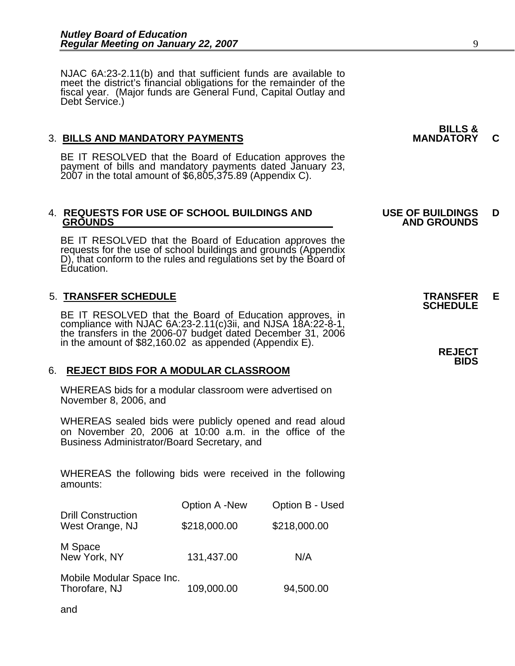NJAC 6A:23-2.11(b) and that sufficient funds are available to meet the district's financial obligations for the remainder of the fiscal year. (Major funds are General Fund, Capital Outlay and Debt Service.)

### 3. BILLS AND MANDATORY PAYMENTS **MANDATORY C**

BE IT RESOLVED that the Board of Education approves the payment of bills and mandatory payments dated January 23, 2007 in the total amount of \$6,805,375.89 (Appendix C).

## 4. **REQUESTS FOR USE OF SCHOOL BUILDINGS AND USE OF BUILDINGS D**

BE IT RESOLVED that the Board of Education approves the requests for the use of school buildings and grounds (Appendix D), that conform to the rules and regulations set by the Board of Education.

and

5. **TRANSFER SCHEDULE**<br>BE IT RESOLVED that the Board of Education approves, in **SCHEDULE** compliance with NJAC 6A:23-2.11(c)3ii, and NJSA 18A:22-8-1, the transfers in the 2006-07 budget dated December 31, 2006 in the amount of \$82,160.02 as appended (Appendix E). **REJECT REJECT** 

### 6. **REJECT BIDS FOR A MODULAR CLASSROOM**

WHEREAS bids for a modular classroom were advertised on November 8, 2006, and

WHEREAS sealed bids were publicly opened and read aloud on November 20, 2006 at 10:00 a.m. in the office of the Business Administrator/Board Secretary, and

WHEREAS the following bids were received in the following amounts:

| <b>Drill Construction</b>                  | <b>Option A -New</b> | Option B - Used |  |
|--------------------------------------------|----------------------|-----------------|--|
| West Orange, NJ                            | \$218,000.00         | \$218,000.00    |  |
| M Space<br>New York, NY                    | 131,437.00           | N/A             |  |
| Mobile Modular Space Inc.<br>Thorofare, NJ | 109,000.00           | 94,500.00       |  |

# **BILLS &**

 **GROUNDS AND GROUNDS** 

**BIDS**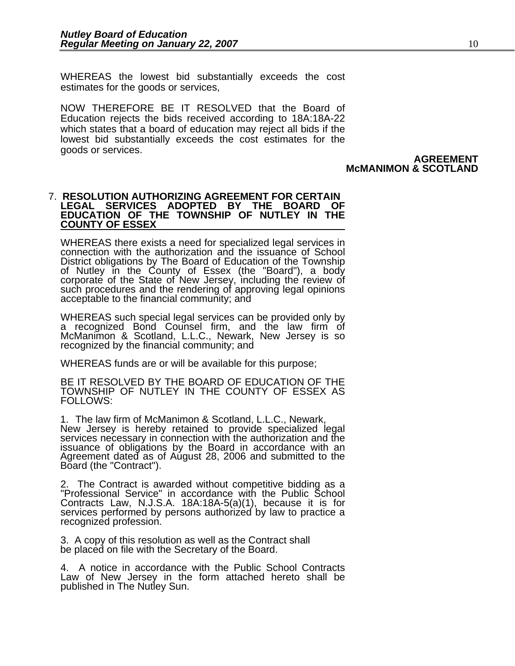WHEREAS the lowest bid substantially exceeds the cost estimates for the goods or services,

NOW THEREFORE BE IT RESOLVED that the Board of Education rejects the bids received according to 18A:18A-22 which states that a board of education may reject all bids if the lowest bid substantially exceeds the cost estimates for the goods or services.

#### **AGREEMENT McMANIMON & SCOTLAND**

#### 7. **RESOLUTION AUTHORIZING AGREEMENT FOR CERTAIN LEGAL SERVICES ADOPTED BY THE BOARD OF EDUCATION OF THE TOWNSHIP OF NUTLEY IN THE COUNTY OF ESSEX**

WHEREAS there exists a need for specialized legal services in connection with the authorization and the issuance of School District obligations by The Board of Education of the Township<br>of Nutley in the County of Essex (the "Board"), a body<br>corporate of the State of New Jersey, including the review of<br>such procedures and the rendering of appro

WHEREAS such special legal services can be provided only by a recognized Bond Counsel firm, and the law firm of McManimon & Scotland, L.L.C., Newark, New Jersey is so recognized by the financial community; and

WHEREAS funds are or will be available for this purpose;

BE IT RESOLVED BY THE BOARD OF EDUCATION OF THE TOWNSHIP OF NUTLEY IN THE COUNTY OF ESSEX AS FOLLOWS:

1. The law firm of McManimon & Scotland, L.L.C., Newark, services necessary in connection with the authorization and the issuance of obligations by the Board in accordance with an Agreement dated as of August 28, 2006 and submitted to the Board (the "Contract").

2. The Contract is awarded without competitive bidding as a "Professional Service" in accordance with the Public School Contracts Law, N.J.S.A. 18A:18A-5(a)(1), because it is for services performed by persons authorized by law to practice a recognized profession.

3. A copy of this resolution as well as the Contract shall be placed on file with the Secretary of the Board.

4. A notice in accordance with the Public School Contracts Law of New Jersey in the form attached hereto shall be published in The Nutley Sun.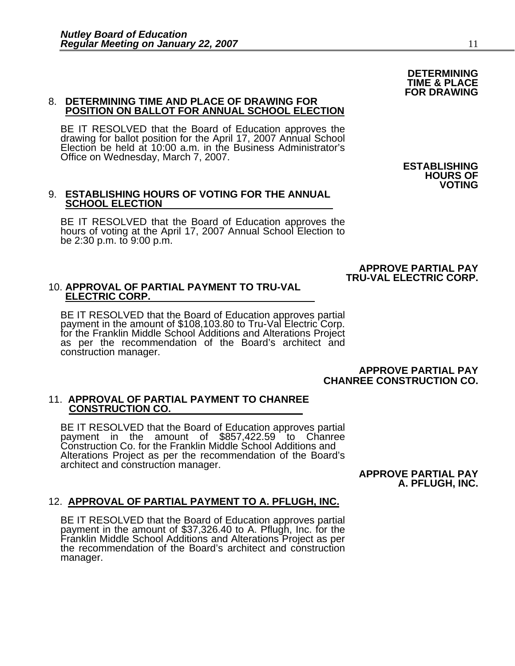#### 8. **DETERMINING TIME AND PLACE OF DRAWING FOR POSITION ON BALLOT FOR ANNUAL SCHOOL ELECTION**

BE IT RESOLVED that the Board of Education approves the drawing for ballot position for the April 17, 2007 Annual School Election be held at 10:00 a.m. in the Business Administrator's Office on Wednesday, March 7, 2007. **ESTABLISHING** 

#### 9. **ESTABLISHING HOURS OF VOTING FOR THE ANNUAL SCHOOL ELECTION**

BE IT RESOLVED that the Board of Education approves the hours of voting at the April 17, 2007 Annual School Election to be  $2:30$  p.m. to  $9:00$  p.m.

#### **APPROVE PARTIAL PAY TRU-VAL ELECTRIC CORP.**

## 10. **APPROVAL OF PARTIAL PAYMENT TO TRU-VAL ELECTRIC CORP.**

BE IT RESOLVED that the Board of Education approves partial payment in the amount of \$108,103.80 to Tru-Val Electric Corp. for the Franklin Middle School Additions and Alterations Project as per the recommendation of the Board's architect and construction manager.

> **APPROVE PARTIAL PAY CHANREE CONSTRUCTION CO.**

#### 11. **APPROVAL OF PARTIAL PAYMENT TO CHANREE CONSTRUCTION CO.**

BE IT RESOLVED that the Board of Education approves partial payment in the amount of \$857,422.59 to Chanree Construction Co. for the Franklin Middle School Additions and Alterations Project as per the recommendation of the Board's architect and construction manager.<br>**APPROVE PARTIAL PAY** 

**A. PFLUGH, INC.** 

### 12. **APPROVAL OF PARTIAL PAYMENT TO A. PFLUGH, INC.**

BE IT RESOLVED that the Board of Education approves partial payment in the amount of \$37,326.40 to A. Pflugh, Inc. for the Franklin Middle School Additions and Alterations Project as per the recommendation of the Board's architect and construction manager.

**HOURS OF VOTING** 

**DETERMINING TIME & PLACE FOR DRAWING**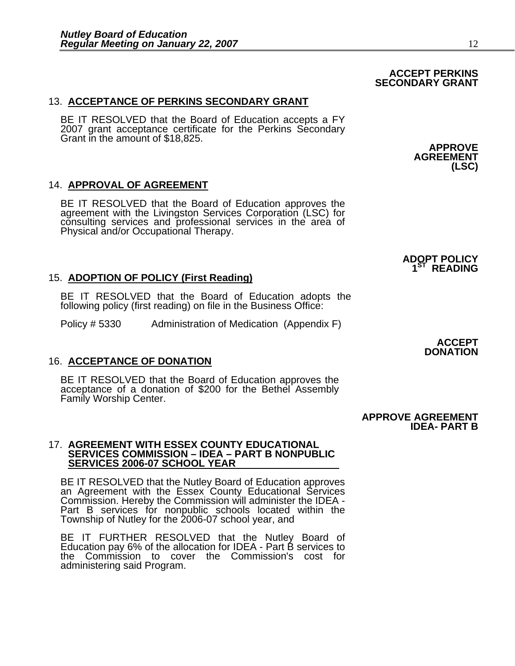#### 13. **ACCEPTANCE OF PERKINS SECONDARY GRANT**

BE IT RESOLVED that the Board of Education accepts a FY 2007 grant acceptance certificate for the Perkins Secondary Grant in the amount of \$18,825.

#### 14. **APPROVAL OF AGREEMENT**

BE IT RESOLVED that the Board of Education approves the agreement with the Livingston Services Corporation (LSC) for consulting services and professional services in the area of Physical and/or Occupational Therapy.

#### 15. **ADOPTION OF POLICY (First Reading)**

BE IT RESOLVED that the Board of Education adopts the following policy (first reading) on file in the Business Office:

Policy # 5330 Administration of Medication (Appendix F)

#### 16. **ACCEPTANCE OF DONATION**

BE IT RESOLVED that the Board of Education approves the acceptance of a donation of \$200 for the Bethel Assembly Family Worship Center.

#### 17. **AGREEMENT WITH ESSEX COUNTY EDUCATIONAL SERVICES COMMISSION – IDEA – PART B NONPUBLIC SERVICES 2006-07 SCHOOL YEAR**

BE IT RESOLVED that the Nutley Board of Education approves an Agreement with the Essex County Educational Services Commission. Hereby the Commission will administer the IDEA - Part B services for nonpublic schools located within the Township of Nutley for the 2006-07 school year, and

BE IT FURTHER RESOLVED that the Nutley Board of Education pay 6% of the allocation for IDEA - Part B services to the Commission to cover the Commission's cost for administering said Program.

**ADOPT POLICY READING** 

**APPROVE AGREEMENT** 

**(LSC)** 

**APPROVE AGREEMENT** 

**IDEA- PART B** 

**ACCEPT PERKINS SECONDARY GRANT**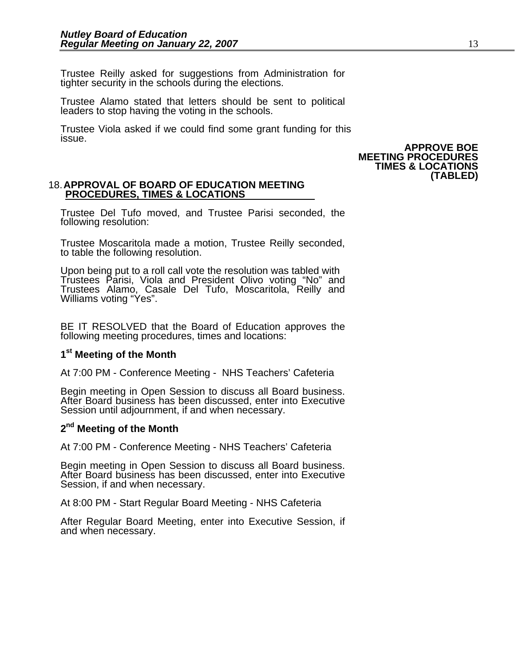Trustee Reilly asked for suggestions from Administration for tighter security in the schools during the elections.

Trustee Alamo stated that letters should be sent to political leaders to stop having the voting in the schools.

Trustee Viola asked if we could find some grant funding for this issue.

**APPROVE BOE MEETING PROCEDURES TIMES & LOCATIONS (TABLED)**

#### 18. **APPROVAL OF BOARD OF EDUCATION MEETING PROCEDURES, TIMES & LOCATIONS**

Trustee Del Tufo moved, and Trustee Parisi seconded, the following resolution:

Trustee Moscaritola made a motion, Trustee Reilly seconded, to table the following resolution.

Upon being put to a roll call vote the resolution was tabled with Trustees Parisi, Viola and President Olivo voting "No" and<br>Trustees Alamo, Casale Del Tufo, Moscaritola, Reilly and Williams voting "Yes".

BE IT RESOLVED that the Board of Education approves the following meeting procedures, times and locations:

### **1st Meeting of the Month**

At 7:00 PM - Conference Meeting - NHS Teachers' Cafeteria

Begin meeting in Open Session to discuss all Board business. After Board business has been discussed, enter into Executive Session until adjournment, if and when necessary.

### **2nd Meeting of the Month**

At 7:00 PM - Conference Meeting - NHS Teachers' Cafeteria

Begin meeting in Open Session to discuss all Board business. After Board business has been discussed, enter into Executive Session, if and when necessary.

At 8:00 PM - Start Regular Board Meeting - NHS Cafeteria

After Regular Board Meeting, enter into Executive Session, if and when necessary.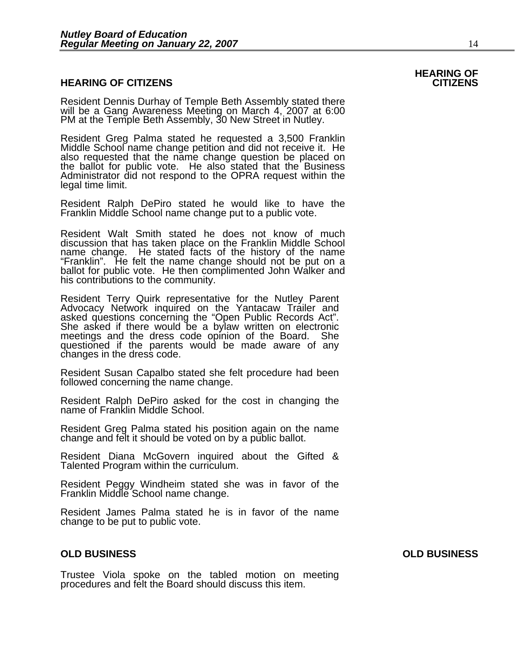#### **HEARING OF CITIZENS CITIZENS**

Resident Dennis Durhay of Temple Beth Assembly stated there will be a Gang Awareness Meeting on March 4, 2007 at 6:00 PM at the Temple Beth Assembly, 30 New Street in Nutley.

Resident Greg Palma stated he requested a 3,500 Franklin Middle School name change petition and did not receive it. He also requested that the name change question be placed on the ballot for public vote. He also stated that the Business Administrator did not respond to the OPRA request within the legal time limit.

Resident Ralph DePiro stated he would like to have the Franklin Middle School name change put to a public vote.

Resident Walt Smith stated he does not know of much discussion that has taken place on the Franklin Middle School name change. He stated facts of the history of the name "Franklin". He felt the name change should not be put on a ballot for public vote. He then complimented John Walker and his contributions to the community.

Resident Terry Quirk representative for the Nutley Parent<br>Advocacy Network inquired on the Yantacaw Trailer and asked questions concerning the "Open Public Records Act". She asked if there would be a bylaw written on electronic meetings and the dress code opinion of the Board. She meetings and the dress code opinion of the Board. She questioned if the parents would be made aware of any changes in the dress code.

Resident Susan Capalbo stated she felt procedure had been followed concerning the name change.

Resident Ralph DePiro asked for the cost in changing the name of Franklin Middle School.

Resident Greg Palma stated his position again on the name change and felt it should be voted on by a public ballot.

Resident Diana McGovern inquired about the Gifted & Talented Program within the curriculum.

Resident Peggy Windheim stated she was in favor of the Franklin Middle School name change.

Resident James Palma stated he is in favor of the name change to be put to public vote.

#### **OLD BUSINESS OLD BUSINESS**

Trustee Viola spoke on the tabled motion on meeting procedures and felt the Board should discuss this item.

## **HEARING OF**